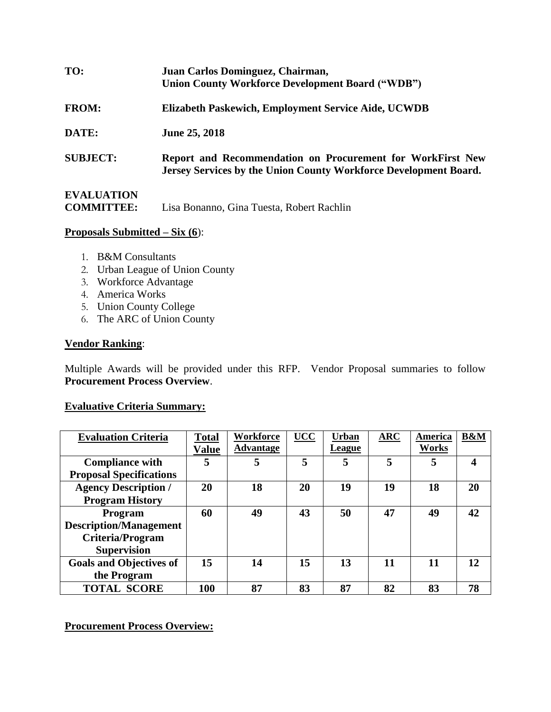| TO:                                    | Juan Carlos Dominguez, Chairman,<br><b>Union County Workforce Development Board ("WDB")</b>                                    |
|----------------------------------------|--------------------------------------------------------------------------------------------------------------------------------|
| <b>FROM:</b>                           | Elizabeth Paskewich, Employment Service Aide, UCWDB                                                                            |
| DATE:                                  | June 25, 2018                                                                                                                  |
| <b>SUBJECT:</b>                        | Report and Recommendation on Procurement for WorkFirst New<br>Jersey Services by the Union County Workforce Development Board. |
| <b>EVALUATION</b><br><b>COMMITTEE:</b> | Lisa Bonanno, Gina Tuesta, Robert Rachlin                                                                                      |

### **Proposals Submitted – Six (6**):

- 1. B&M Consultants
- 2. Urban League of Union County
- 3. Workforce Advantage
- 4. America Works
- 5. Union County College
- 6. The ARC of Union County

# **Vendor Ranking**:

Multiple Awards will be provided under this RFP. Vendor Proposal summaries to follow **Procurement Process Overview**.

### **Evaluative Criteria Summary:**

| <b>Evaluation Criteria</b>     | <b>Total</b><br><b>Value</b> | Workforce<br><b>Advantage</b> | <b>UCC</b> | <b>Urban</b><br>League | $\overline{\text{ARC}}$ | America<br>Works | <b>B&amp;M</b> |
|--------------------------------|------------------------------|-------------------------------|------------|------------------------|-------------------------|------------------|----------------|
| <b>Compliance with</b>         | 5                            | 5                             | 5          | 5                      |                         | 5                | 4              |
| <b>Proposal Specifications</b> |                              |                               |            |                        |                         |                  |                |
| <b>Agency Description /</b>    | 20                           | 18                            | 20         | 19                     | 19                      | 18               | 20             |
| <b>Program History</b>         |                              |                               |            |                        |                         |                  |                |
| Program                        | 60                           | 49                            | 43         | 50                     | 47                      | 49               | 42             |
| <b>Description/Management</b>  |                              |                               |            |                        |                         |                  |                |
| <b>Criteria/Program</b>        |                              |                               |            |                        |                         |                  |                |
| <b>Supervision</b>             |                              |                               |            |                        |                         |                  |                |
| <b>Goals and Objectives of</b> | 15                           | 14                            | 15         | 13                     | 11                      | 11               | 12             |
| the Program                    |                              |                               |            |                        |                         |                  |                |
| <b>TOTAL SCORE</b>             | 100                          | 87                            | 83         | 87                     | 82                      | 83               | 78             |

## **Procurement Process Overview:**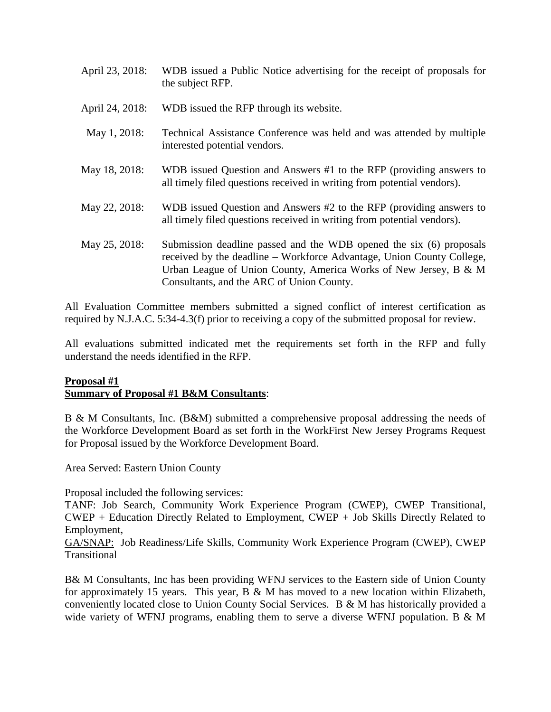- April 23, 2018: WDB issued a Public Notice advertising for the receipt of proposals for the subject RFP.
- April 24, 2018: WDB issued the RFP through its website.
- May 1, 2018: Technical Assistance Conference was held and was attended by multiple interested potential vendors.
- May 18, 2018: WDB issued Question and Answers #1 to the RFP (providing answers to all timely filed questions received in writing from potential vendors).
- May 22, 2018: WDB issued Question and Answers #2 to the RFP (providing answers to all timely filed questions received in writing from potential vendors).
- May 25, 2018: Submission deadline passed and the WDB opened the six (6) proposals received by the deadline – Workforce Advantage, Union County College, Urban League of Union County, America Works of New Jersey, B & M Consultants, and the ARC of Union County.

All Evaluation Committee members submitted a signed conflict of interest certification as required by N.J.A.C. 5:34-4.3(f) prior to receiving a copy of the submitted proposal for review.

All evaluations submitted indicated met the requirements set forth in the RFP and fully understand the needs identified in the RFP.

# **Proposal #1 Summary of Proposal #1 B&M Consultants**:

B & M Consultants, Inc. (B&M) submitted a comprehensive proposal addressing the needs of the Workforce Development Board as set forth in the WorkFirst New Jersey Programs Request for Proposal issued by the Workforce Development Board.

Area Served: Eastern Union County

Proposal included the following services:

TANF: Job Search, Community Work Experience Program (CWEP), CWEP Transitional, CWEP + Education Directly Related to Employment, CWEP + Job Skills Directly Related to Employment,

GA/SNAP: Job Readiness/Life Skills, Community Work Experience Program (CWEP), CWEP Transitional

B& M Consultants, Inc has been providing WFNJ services to the Eastern side of Union County for approximately 15 years. This year, B  $\&$  M has moved to a new location within Elizabeth, conveniently located close to Union County Social Services. B & M has historically provided a wide variety of WFNJ programs, enabling them to serve a diverse WFNJ population. B & M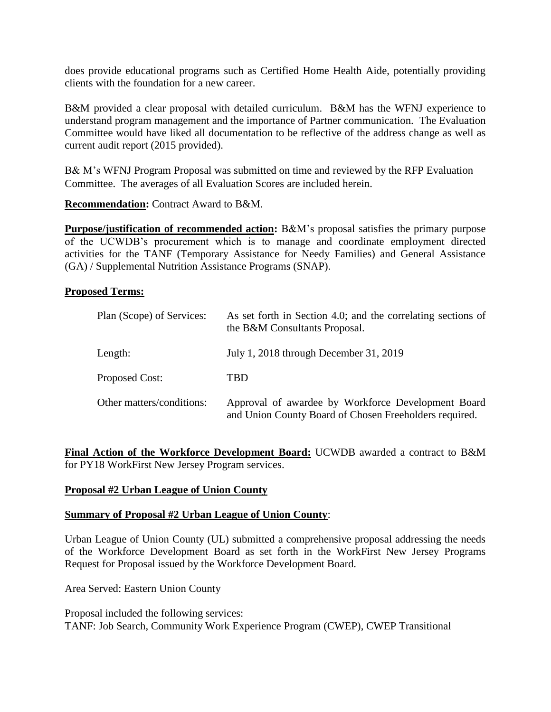does provide educational programs such as Certified Home Health Aide, potentially providing clients with the foundation for a new career.

B&M provided a clear proposal with detailed curriculum. B&M has the WFNJ experience to understand program management and the importance of Partner communication. The Evaluation Committee would have liked all documentation to be reflective of the address change as well as current audit report (2015 provided).

B& M's WFNJ Program Proposal was submitted on time and reviewed by the RFP Evaluation Committee. The averages of all Evaluation Scores are included herein.

**Recommendation:** Contract Award to B&M.

**Purpose/justification of recommended action:** B&M's proposal satisfies the primary purpose of the UCWDB's procurement which is to manage and coordinate employment directed activities for the TANF (Temporary Assistance for Needy Families) and General Assistance (GA) / Supplemental Nutrition Assistance Programs (SNAP).

### **Proposed Terms:**

| Plan (Scope) of Services: | As set forth in Section 4.0; and the correlating sections of<br>the B&M Consultants Proposal.                |
|---------------------------|--------------------------------------------------------------------------------------------------------------|
| Length:                   | July 1, 2018 through December 31, 2019                                                                       |
| Proposed Cost:            | TBD                                                                                                          |
| Other matters/conditions: | Approval of awardee by Workforce Development Board<br>and Union County Board of Chosen Freeholders required. |

**Final Action of the Workforce Development Board:** UCWDB awarded a contract to B&M for PY18 WorkFirst New Jersey Program services.

### **Proposal #2 Urban League of Union County**

### **Summary of Proposal #2 Urban League of Union County**:

Urban League of Union County (UL) submitted a comprehensive proposal addressing the needs of the Workforce Development Board as set forth in the WorkFirst New Jersey Programs Request for Proposal issued by the Workforce Development Board.

Area Served: Eastern Union County

Proposal included the following services: TANF: Job Search, Community Work Experience Program (CWEP), CWEP Transitional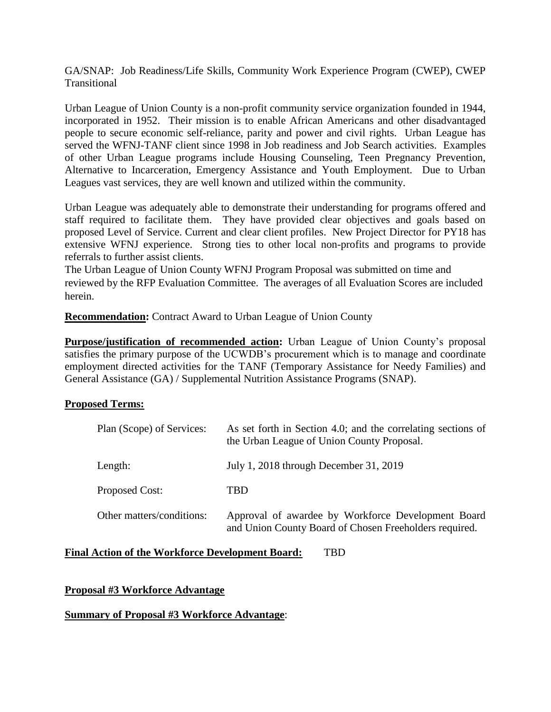GA/SNAP: Job Readiness/Life Skills, Community Work Experience Program (CWEP), CWEP **Transitional** 

Urban League of Union County is a non-profit community service organization founded in 1944, incorporated in 1952. Their mission is to enable African Americans and other disadvantaged people to secure economic self-reliance, parity and power and civil rights. Urban League has served the WFNJ-TANF client since 1998 in Job readiness and Job Search activities. Examples of other Urban League programs include Housing Counseling, Teen Pregnancy Prevention, Alternative to Incarceration, Emergency Assistance and Youth Employment. Due to Urban Leagues vast services, they are well known and utilized within the community.

Urban League was adequately able to demonstrate their understanding for programs offered and staff required to facilitate them. They have provided clear objectives and goals based on proposed Level of Service. Current and clear client profiles. New Project Director for PY18 has extensive WFNJ experience. Strong ties to other local non-profits and programs to provide referrals to further assist clients.

The Urban League of Union County WFNJ Program Proposal was submitted on time and reviewed by the RFP Evaluation Committee. The averages of all Evaluation Scores are included herein.

**Recommendation:** Contract Award to Urban League of Union County

**Purpose/justification of recommended action:** Urban League of Union County's proposal satisfies the primary purpose of the UCWDB's procurement which is to manage and coordinate employment directed activities for the TANF (Temporary Assistance for Needy Families) and General Assistance (GA) / Supplemental Nutrition Assistance Programs (SNAP).

# **Proposed Terms:**

| Plan (Scope) of Services: | As set forth in Section 4.0; and the correlating sections of<br>the Urban League of Union County Proposal.   |
|---------------------------|--------------------------------------------------------------------------------------------------------------|
| Length:                   | July 1, 2018 through December 31, 2019                                                                       |
| Proposed Cost:            | TBD                                                                                                          |
| Other matters/conditions: | Approval of awardee by Workforce Development Board<br>and Union County Board of Chosen Freeholders required. |

### **Final Action of the Workforce Development Board:** TBD

**Proposal #3 Workforce Advantage**

### **Summary of Proposal #3 Workforce Advantage**: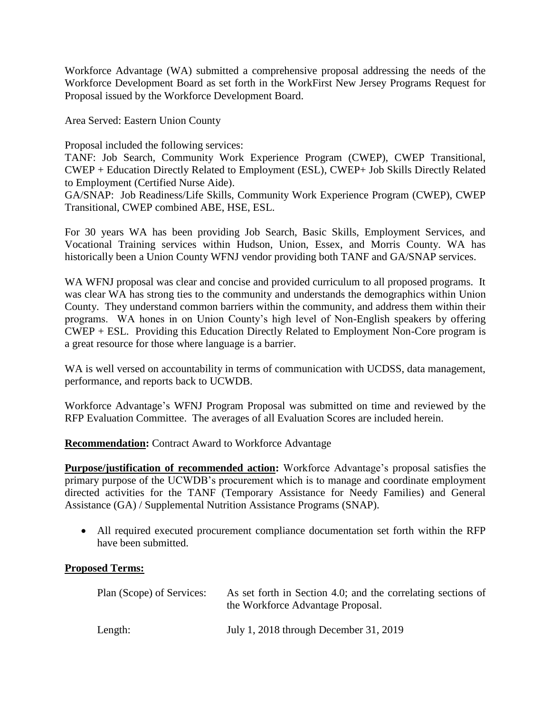Workforce Advantage (WA) submitted a comprehensive proposal addressing the needs of the Workforce Development Board as set forth in the WorkFirst New Jersey Programs Request for Proposal issued by the Workforce Development Board.

Area Served: Eastern Union County

Proposal included the following services:

TANF: Job Search, Community Work Experience Program (CWEP), CWEP Transitional, CWEP + Education Directly Related to Employment (ESL), CWEP+ Job Skills Directly Related to Employment (Certified Nurse Aide).

GA/SNAP: Job Readiness/Life Skills, Community Work Experience Program (CWEP), CWEP Transitional, CWEP combined ABE, HSE, ESL.

For 30 years WA has been providing Job Search, Basic Skills, Employment Services, and Vocational Training services within Hudson, Union, Essex, and Morris County. WA has historically been a Union County WFNJ vendor providing both TANF and GA/SNAP services.

WA WFNJ proposal was clear and concise and provided curriculum to all proposed programs. It was clear WA has strong ties to the community and understands the demographics within Union County. They understand common barriers within the community, and address them within their programs. WA hones in on Union County's high level of Non-English speakers by offering CWEP + ESL. Providing this Education Directly Related to Employment Non-Core program is a great resource for those where language is a barrier.

WA is well versed on accountability in terms of communication with UCDSS, data management, performance, and reports back to UCWDB.

Workforce Advantage's WFNJ Program Proposal was submitted on time and reviewed by the RFP Evaluation Committee. The averages of all Evaluation Scores are included herein.

**Recommendation:** Contract Award to Workforce Advantage

**Purpose/justification of recommended action:** Workforce Advantage's proposal satisfies the primary purpose of the UCWDB's procurement which is to manage and coordinate employment directed activities for the TANF (Temporary Assistance for Needy Families) and General Assistance (GA) / Supplemental Nutrition Assistance Programs (SNAP).

 All required executed procurement compliance documentation set forth within the RFP have been submitted.

### **Proposed Terms:**

| Plan (Scope) of Services: | As set forth in Section 4.0; and the correlating sections of<br>the Workforce Advantage Proposal. |
|---------------------------|---------------------------------------------------------------------------------------------------|
| Length:                   | July 1, 2018 through December 31, 2019                                                            |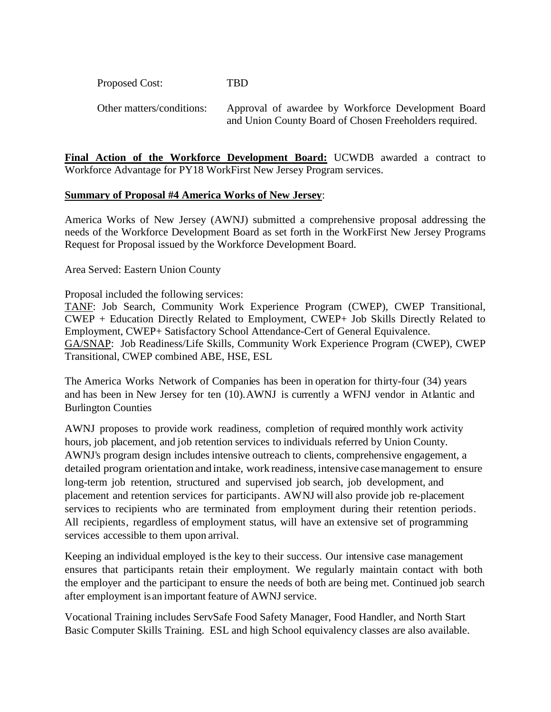Proposed Cost: TBD

Other matters/conditions: Approval of awardee by Workforce Development Board and Union County Board of Chosen Freeholders required.

**Final Action of the Workforce Development Board:** UCWDB awarded a contract to Workforce Advantage for PY18 WorkFirst New Jersey Program services.

### **Summary of Proposal #4 America Works of New Jersey**:

America Works of New Jersey (AWNJ) submitted a comprehensive proposal addressing the needs of the Workforce Development Board as set forth in the WorkFirst New Jersey Programs Request for Proposal issued by the Workforce Development Board.

Area Served: Eastern Union County

Proposal included the following services:

TANF: Job Search, Community Work Experience Program (CWEP), CWEP Transitional, CWEP + Education Directly Related to Employment, CWEP+ Job Skills Directly Related to Employment, CWEP+ Satisfactory School Attendance-Cert of General Equivalence. GA/SNAP: Job Readiness/Life Skills, Community Work Experience Program (CWEP), CWEP Transitional, CWEP combined ABE, HSE, ESL

The America Works Network of Companies has been in operation for thirty-four (34) years and has been in New Jersey for ten (10).AWNJ is currently a WFNJ vendor in Atlantic and Burlington Counties

AWNJ proposes to provide work readiness, completion of required monthly work activity hours, job placement, and job retention services to individuals referred by Union County. AWNJ's program design includes intensive outreach to clients, comprehensive engagement, a detailed program orientation andintake, work readiness, intensive casemanagement to ensure long-term job retention, structured and supervised job search, job development, and placement and retention services for participants. AWNJ will also provide job re-placement services to recipients who are terminated from employment during their retention periods. All recipients, regardless of employment status, will have an extensive set of programming services accessible to them upon arrival.

Keeping an individual employed isthe key to their success. Our intensive case management ensures that participants retain their employment. We regularly maintain contact with both the employer and the participant to ensure the needs of both are being met. Continued job search after employment isan important feature of AWNJ service.

Vocational Training includes ServSafe Food Safety Manager, Food Handler, and North Start Basic Computer Skills Training. ESL and high School equivalency classes are also available.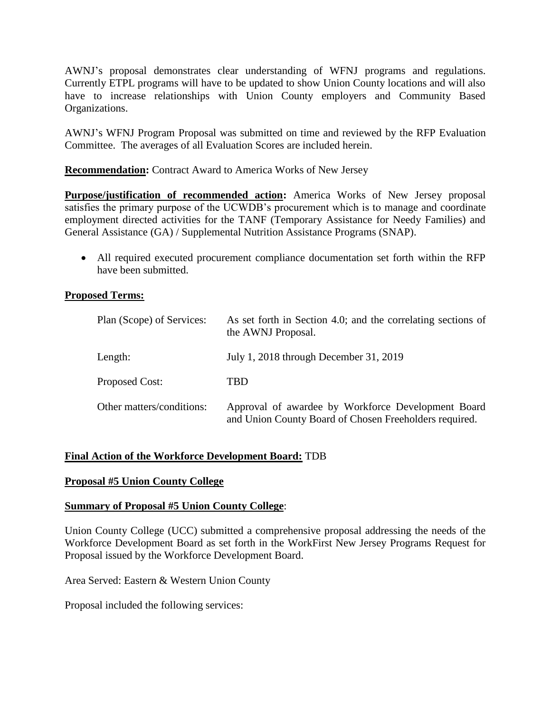AWNJ's proposal demonstrates clear understanding of WFNJ programs and regulations. Currently ETPL programs will have to be updated to show Union County locations and will also have to increase relationships with Union County employers and Community Based Organizations.

AWNJ's WFNJ Program Proposal was submitted on time and reviewed by the RFP Evaluation Committee. The averages of all Evaluation Scores are included herein.

**Recommendation:** Contract Award to America Works of New Jersey

**Purpose/justification of recommended action:** America Works of New Jersey proposal satisfies the primary purpose of the UCWDB's procurement which is to manage and coordinate employment directed activities for the TANF (Temporary Assistance for Needy Families) and General Assistance (GA) / Supplemental Nutrition Assistance Programs (SNAP).

 All required executed procurement compliance documentation set forth within the RFP have been submitted.

### **Proposed Terms:**

| Plan (Scope) of Services: | As set forth in Section 4.0; and the correlating sections of<br>the AWNJ Proposal.                           |
|---------------------------|--------------------------------------------------------------------------------------------------------------|
| Length:                   | July 1, 2018 through December 31, 2019                                                                       |
| Proposed Cost:            | TBD                                                                                                          |
| Other matters/conditions: | Approval of awardee by Workforce Development Board<br>and Union County Board of Chosen Freeholders required. |

### **Final Action of the Workforce Development Board:** TDB

### **Proposal #5 Union County College**

### **Summary of Proposal #5 Union County College**:

Union County College (UCC) submitted a comprehensive proposal addressing the needs of the Workforce Development Board as set forth in the WorkFirst New Jersey Programs Request for Proposal issued by the Workforce Development Board.

Area Served: Eastern & Western Union County

Proposal included the following services: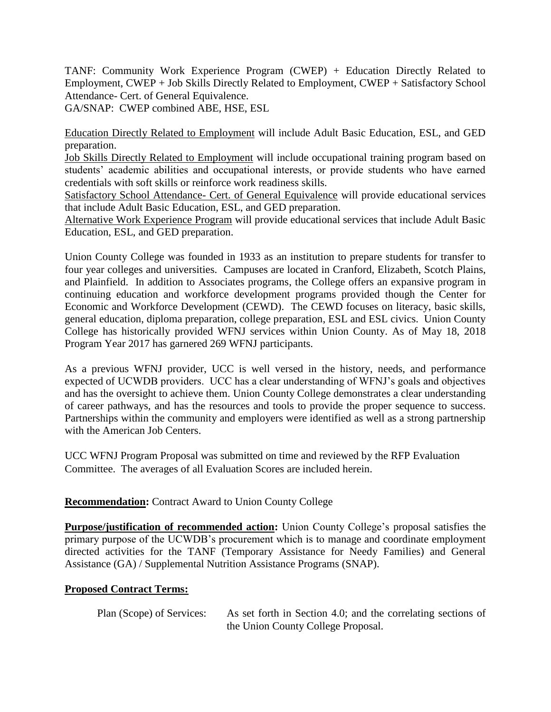TANF: Community Work Experience Program (CWEP) + Education Directly Related to Employment, CWEP + Job Skills Directly Related to Employment, CWEP + Satisfactory School Attendance- Cert. of General Equivalence.

GA/SNAP: CWEP combined ABE, HSE, ESL

Education Directly Related to Employment will include Adult Basic Education, ESL, and GED preparation.

Job Skills Directly Related to Employment will include occupational training program based on students' academic abilities and occupational interests, or provide students who have earned credentials with soft skills or reinforce work readiness skills.

Satisfactory School Attendance- Cert. of General Equivalence will provide educational services that include Adult Basic Education, ESL, and GED preparation.

Alternative Work Experience Program will provide educational services that include Adult Basic Education, ESL, and GED preparation.

Union County College was founded in 1933 as an institution to prepare students for transfer to four year colleges and universities. Campuses are located in Cranford, Elizabeth, Scotch Plains, and Plainfield. In addition to Associates programs, the College offers an expansive program in continuing education and workforce development programs provided though the Center for Economic and Workforce Development (CEWD). The CEWD focuses on literacy, basic skills, general education, diploma preparation, college preparation, ESL and ESL civics. Union County College has historically provided WFNJ services within Union County. As of May 18, 2018 Program Year 2017 has garnered 269 WFNJ participants.

As a previous WFNJ provider, UCC is well versed in the history, needs, and performance expected of UCWDB providers. UCC has a clear understanding of WFNJ's goals and objectives and has the oversight to achieve them. Union County College demonstrates a clear understanding of career pathways, and has the resources and tools to provide the proper sequence to success. Partnerships within the community and employers were identified as well as a strong partnership with the American Job Centers.

UCC WFNJ Program Proposal was submitted on time and reviewed by the RFP Evaluation Committee. The averages of all Evaluation Scores are included herein.

# **Recommendation:** Contract Award to Union County College

**Purpose/justification of recommended action:** Union County College's proposal satisfies the primary purpose of the UCWDB's procurement which is to manage and coordinate employment directed activities for the TANF (Temporary Assistance for Needy Families) and General Assistance (GA) / Supplemental Nutrition Assistance Programs (SNAP).

# **Proposed Contract Terms:**

Plan (Scope) of Services: As set forth in Section 4.0; and the correlating sections of the Union County College Proposal.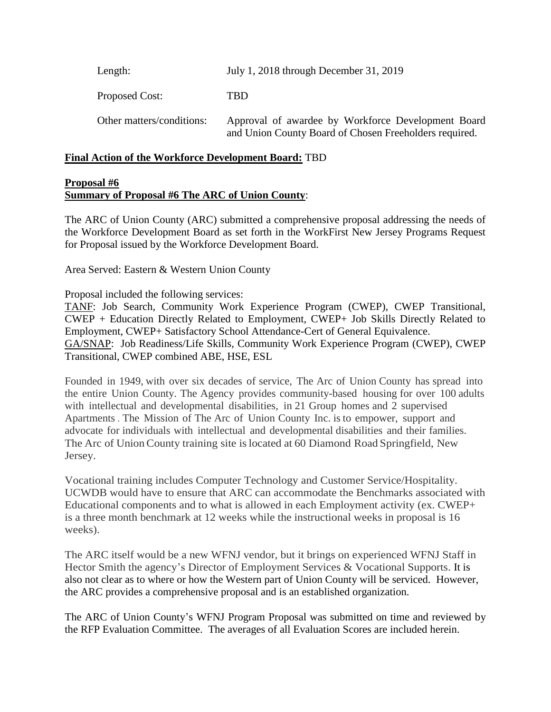Length: July 1, 2018 through December 31, 2019 Proposed Cost: TBD Other matters/conditions: Approval of awardee by Workforce Development Board and Union County Board of Chosen Freeholders required.

### **Final Action of the Workforce Development Board:** TBD

#### **Proposal #6 Summary of Proposal #6 The ARC of Union County**:

The ARC of Union County (ARC) submitted a comprehensive proposal addressing the needs of the Workforce Development Board as set forth in the WorkFirst New Jersey Programs Request for Proposal issued by the Workforce Development Board.

Area Served: Eastern & Western Union County

Proposal included the following services:

TANF: Job Search, Community Work Experience Program (CWEP), CWEP Transitional, CWEP + Education Directly Related to Employment, CWEP+ Job Skills Directly Related to Employment, CWEP+ Satisfactory School Attendance-Cert of General Equivalence. GA/SNAP: Job Readiness/Life Skills, Community Work Experience Program (CWEP), CWEP Transitional, CWEP combined ABE, HSE, ESL

Founded in 1949, with over six decades of service, The Arc of Union County has spread into the entire Union County. The Agency provides community-based housing for over 100 adults with intellectual and developmental disabilities, in 21 Group homes and 2 supervised Apartments . The Mission of The Arc of Union County Inc. is to empower, support and advocate for individuals with intellectual and developmental disabilities and their families. The Arc of UnionCounty training site islocated at 60 Diamond Road Springfield, New Jersey.

Vocational training includes Computer Technology and Customer Service/Hospitality. UCWDB would have to ensure that ARC can accommodate the Benchmarks associated with Educational components and to what is allowed in each Employment activity (ex. CWEP+ is a three month benchmark at 12 weeks while the instructional weeks in proposal is 16 weeks).

The ARC itself would be a new WFNJ vendor, but it brings on experienced WFNJ Staff in Hector Smith the agency's Director of Employment Services & Vocational Supports. It is also not clear as to where or how the Western part of Union County will be serviced. However, the ARC provides a comprehensive proposal and is an established organization.

The ARC of Union County's WFNJ Program Proposal was submitted on time and reviewed by the RFP Evaluation Committee. The averages of all Evaluation Scores are included herein.